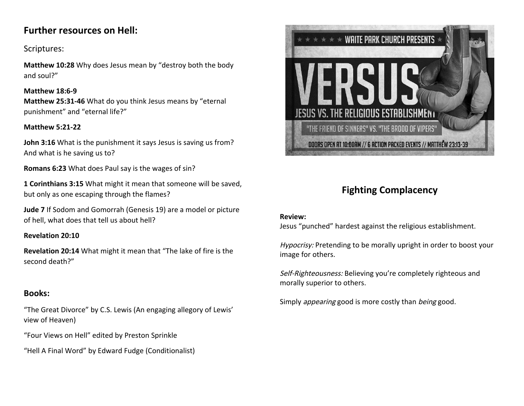## **Further resources on Hell:**

## Scriptures:

**Matthew 10:28** Why does Jesus mean by "destroy both the body and soul?"

#### **Matthew 18:6-9**

**Matthew 25:31-46** What do you think Jesus means by "eternal punishment" and "eternal life?"

#### **Matthew 5:21-22**

**John 3:16** What is the punishment it says Jesus is saving us from? And what is he saving us to?

**Romans 6:23** What does Paul say is the wages of sin?

**1 Corinthians 3:15** What might it mean that someone will be saved, but only as one escaping through the flames?

**Jude 7** If Sodom and Gomorrah (Genesis 19) are a model or picture of hell, what does that tell us about hell?

#### **Revelation 20:10**

**Revelation 20:14** What might it mean that "The lake of fire is the second death?"

## **Books:**

"The Great Divorce" by C.S. Lewis (An engaging allegory of Lewis' view of Heaven)

"Four Views on Hell" edited by Preston Sprinkle

"Hell A Final Word" by Edward Fudge (Conditionalist)



# **Fighting Complacency**

#### **Review:**

Jesus "punched" hardest against the religious establishment.

Hypocrisy: Pretending to be morally upright in order to boost your image for others.

Self-Righteousness: Believing you're completely righteous and morally superior to others.

Simply *appearing* good is more costly than *being* good.